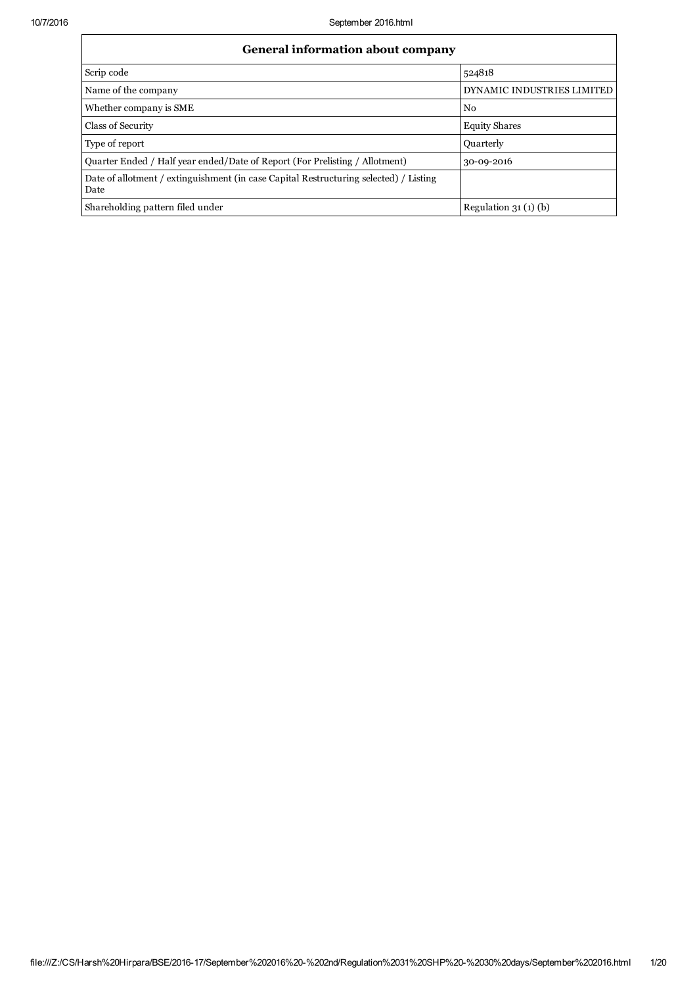| General information about company                                                             |                            |  |  |  |  |
|-----------------------------------------------------------------------------------------------|----------------------------|--|--|--|--|
| Scrip code                                                                                    | 524818                     |  |  |  |  |
| Name of the company                                                                           | DYNAMIC INDUSTRIES LIMITED |  |  |  |  |
| Whether company is SME                                                                        | N <sub>0</sub>             |  |  |  |  |
| Class of Security                                                                             | <b>Equity Shares</b>       |  |  |  |  |
| Type of report                                                                                | <b>Quarterly</b>           |  |  |  |  |
| Quarter Ended / Half year ended/Date of Report (For Prelisting / Allotment)                   | 30-09-2016                 |  |  |  |  |
| Date of allotment / extinguishment (in case Capital Restructuring selected) / Listing<br>Date |                            |  |  |  |  |
| Shareholding pattern filed under                                                              | Regulation $31(1)(b)$      |  |  |  |  |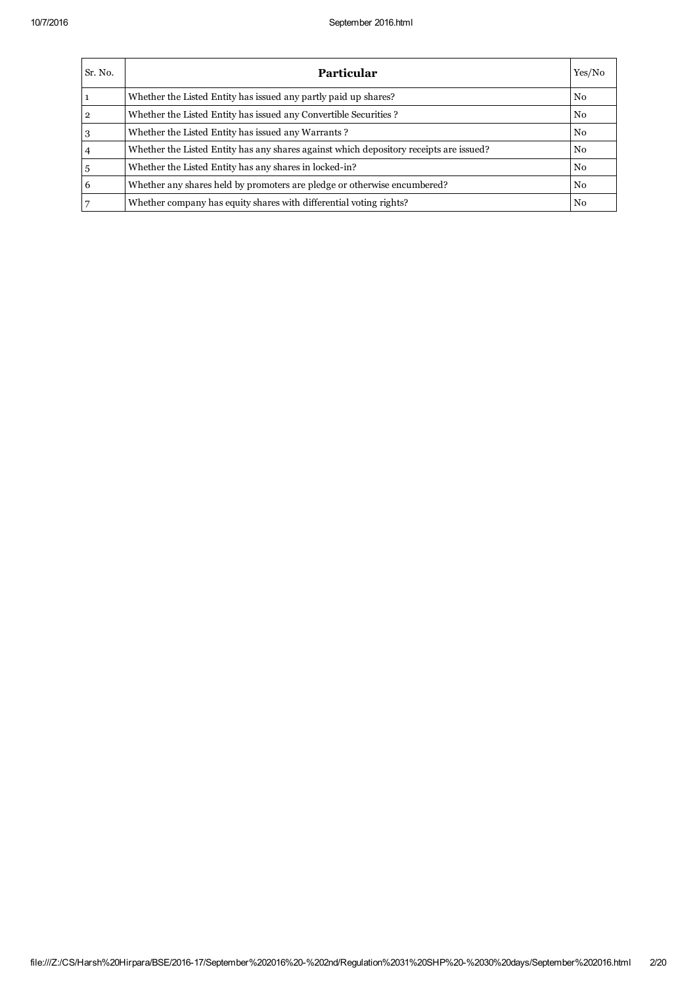| Sr. No. | <b>Particular</b>                                                                      | Yes/No         |
|---------|----------------------------------------------------------------------------------------|----------------|
|         | Whether the Listed Entity has issued any partly paid up shares?                        | N <sub>0</sub> |
| 2       | Whether the Listed Entity has issued any Convertible Securities?                       | N <sub>0</sub> |
|         | Whether the Listed Entity has issued any Warrants?                                     | $\rm No$       |
|         | Whether the Listed Entity has any shares against which depository receipts are issued? | N <sub>0</sub> |
|         | Whether the Listed Entity has any shares in locked-in?                                 | N <sub>0</sub> |
| 6       | Whether any shares held by promoters are pledge or otherwise encumbered?               | N <sub>0</sub> |
|         | Whether company has equity shares with differential voting rights?                     | N <sub>0</sub> |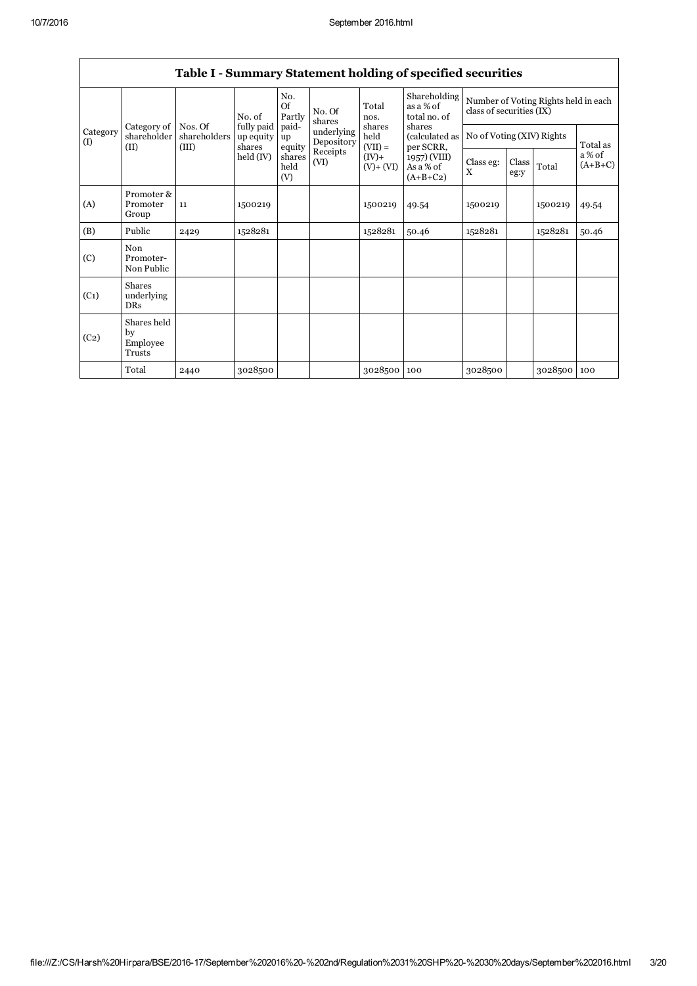|                   | rable requiring y buttentent holding or specified securities                                                         |                                                      |                         |                           |                          |                             |                                           |                                                                  |  |         |          |
|-------------------|----------------------------------------------------------------------------------------------------------------------|------------------------------------------------------|-------------------------|---------------------------|--------------------------|-----------------------------|-------------------------------------------|------------------------------------------------------------------|--|---------|----------|
|                   |                                                                                                                      |                                                      | No. of                  | No.<br>$\alpha$<br>Partly | No. Of<br>shares         | Total<br>nos.               | Shareholding<br>as a % of<br>total no. of | Number of Voting Rights held in each<br>class of securities (IX) |  |         |          |
| Category<br>(1)   | Category of<br>shareholder                                                                                           | Nos. Of<br>shareholders                              | fully paid<br>up equity | paid-<br>up               | underlying<br>Depository | shares<br>held<br>$(VII) =$ | shares<br>(calculated as                  | No of Voting (XIV) Rights                                        |  |         | Total as |
|                   | (III)<br>(II)<br>shares<br>equity<br>Receipts<br>held (IV)<br>$(IV)+$<br>shares<br>(VI)<br>held<br>$(V)+(VI)$<br>(V) | per SCRR,<br>1957) (VIII)<br>As a % of<br>$(A+B+C2)$ | Class eg:<br>X          | Class<br>eg:y             | Total                    | a% of<br>$(A+B+C)$          |                                           |                                                                  |  |         |          |
| (A)               | Promoter &<br>Promoter<br>Group                                                                                      | 11                                                   | 1500219                 |                           |                          | 1500219                     | 49.54                                     | 1500219                                                          |  | 1500219 | 49.54    |
| (B)               | Public                                                                                                               | 2429                                                 | 1528281                 |                           |                          | 1528281                     | 50.46                                     | 1528281                                                          |  | 1528281 | 50.46    |
| (C)               | Non<br>Promoter-<br>Non Public                                                                                       |                                                      |                         |                           |                          |                             |                                           |                                                                  |  |         |          |
| (C <sub>1</sub> ) | <b>Shares</b><br>underlying<br><b>DRs</b>                                                                            |                                                      |                         |                           |                          |                             |                                           |                                                                  |  |         |          |
| (C <sub>2</sub> ) | Shares held<br>by<br>Employee<br>Trusts                                                                              |                                                      |                         |                           |                          |                             |                                           |                                                                  |  |         |          |
|                   | Total                                                                                                                | 2440                                                 | 3028500                 |                           |                          | 3028500                     | 100                                       | 3028500                                                          |  | 3028500 | 100      |

## Table I - Summary Statement holding of specified securities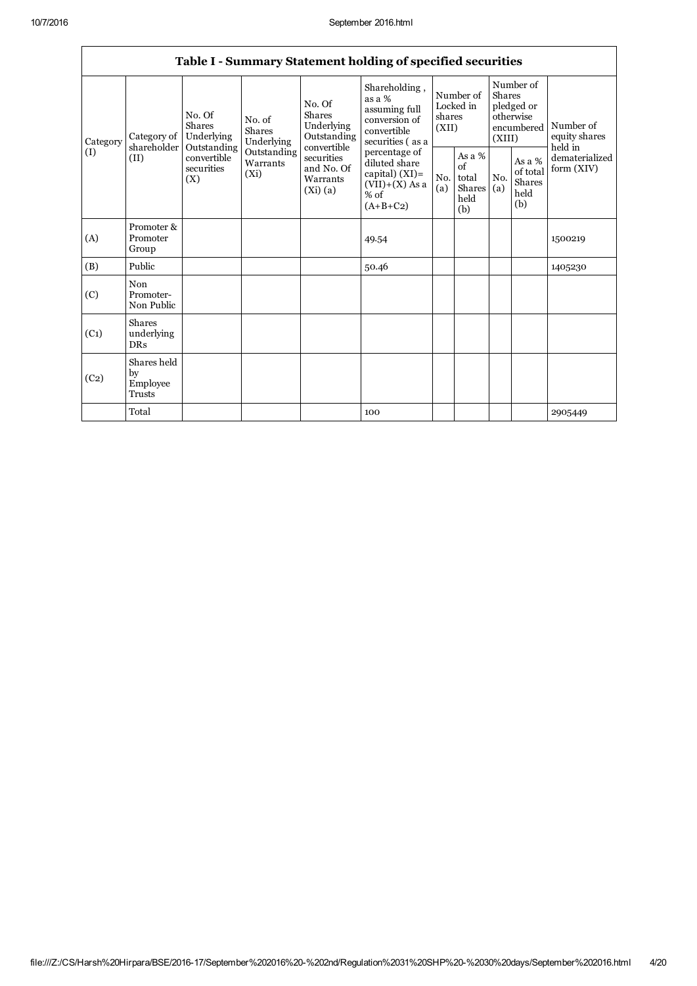$\mathsf{r}$ 

٦

|                   | Table I - Summary Statement holding of specified securities |                                                                                                                                                         |                                |                                                                                               |                                                                                              |                                                |            |                                                                        |                              |                                       |
|-------------------|-------------------------------------------------------------|---------------------------------------------------------------------------------------------------------------------------------------------------------|--------------------------------|-----------------------------------------------------------------------------------------------|----------------------------------------------------------------------------------------------|------------------------------------------------|------------|------------------------------------------------------------------------|------------------------------|---------------------------------------|
| Category          | Category of                                                 | No. Of<br>Shares<br>Underlying                                                                                                                          | No. of<br>Shares<br>Underlying | No. Of<br><b>Shares</b><br>Underlying<br>Outstanding                                          | Shareholding,<br>as a %<br>assuming full<br>conversion of<br>convertible<br>securities (as a | Number of<br>Locked in<br>shares<br>(XII)      |            | Number of<br>Shares<br>pledged or<br>otherwise<br>encumbered<br>(XIII) |                              | Number of<br>equity shares<br>held in |
| (I)               | shareholder<br>(II)                                         | convertible<br>Outstanding<br>Outstanding<br>convertible<br>securities<br>Warrants<br>securities<br>and No. Of<br>(Xi)<br>(X)<br>Warrants<br>$(Xi)$ (a) |                                | percentage of<br>diluted share<br>capital) $(XI)$ =<br>$(VII)+(X)$ As a<br>% of<br>$(A+B+C2)$ | No.<br>(a)                                                                                   | As a %<br>of<br>total<br>Shares<br>held<br>(b) | No.<br>(a) | As a %<br>of total<br>Shares<br>held<br>(b)                            | dematerialized<br>form (XIV) |                                       |
| (A)               | Promoter &<br>Promoter<br>Group                             |                                                                                                                                                         |                                |                                                                                               | 49.54                                                                                        |                                                |            |                                                                        |                              | 1500219                               |
| (B)               | Public                                                      |                                                                                                                                                         |                                |                                                                                               | 50.46                                                                                        |                                                |            |                                                                        |                              | 1405230                               |
| (C)               | Non<br>Promoter-<br>Non Public                              |                                                                                                                                                         |                                |                                                                                               |                                                                                              |                                                |            |                                                                        |                              |                                       |
| (C <sub>1</sub> ) | <b>Shares</b><br>underlying<br><b>DRs</b>                   |                                                                                                                                                         |                                |                                                                                               |                                                                                              |                                                |            |                                                                        |                              |                                       |
| (C <sub>2</sub> ) | Shares held<br>by<br>Employee<br><b>Trusts</b>              |                                                                                                                                                         |                                |                                                                                               |                                                                                              |                                                |            |                                                                        |                              |                                       |
|                   | Total                                                       |                                                                                                                                                         |                                |                                                                                               | 100                                                                                          |                                                |            |                                                                        |                              | 2905449                               |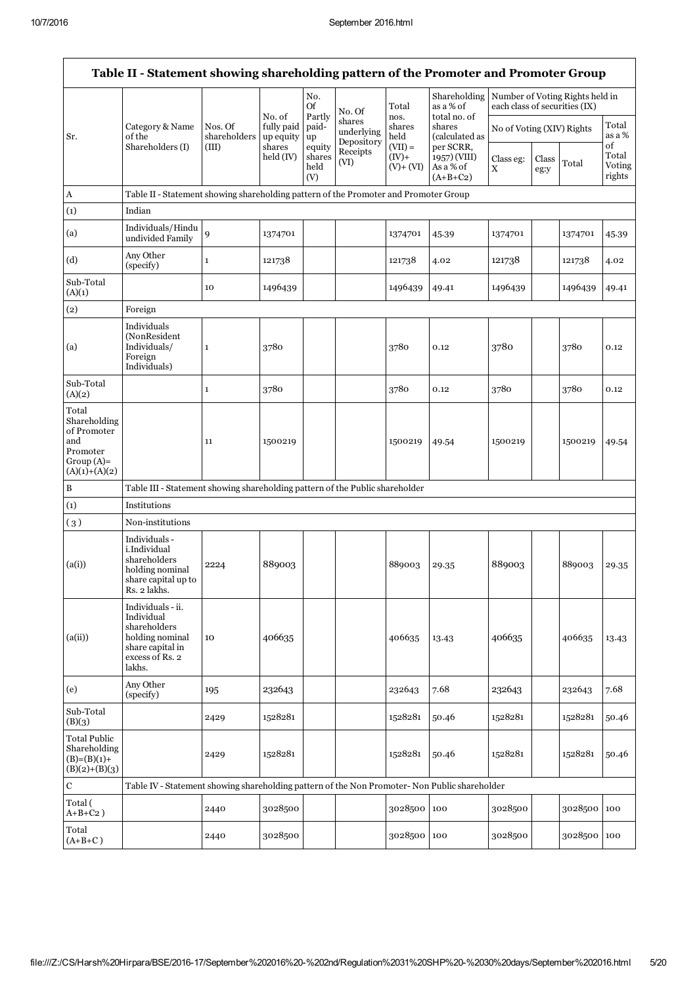|                                                                                           | Table II - Statement showing shareholding pattern of the Promoter and Promoter Group                                |                         |                                    |                                 |                                    |                                       |                                                      |                               |               |                                 |                                 |
|-------------------------------------------------------------------------------------------|---------------------------------------------------------------------------------------------------------------------|-------------------------|------------------------------------|---------------------------------|------------------------------------|---------------------------------------|------------------------------------------------------|-------------------------------|---------------|---------------------------------|---------------------------------|
|                                                                                           |                                                                                                                     |                         |                                    | No.<br>Of                       | No. Of                             | Total                                 | Shareholding<br>as a % of                            | each class of securities (IX) |               | Number of Voting Rights held in |                                 |
| Sr.                                                                                       | Category & Name<br>of the                                                                                           | Nos. Of<br>shareholders | No. of<br>fully paid<br>up equity  | Partly<br>paid-<br>up           | shares<br>underlying<br>Depository | nos.<br>shares<br>shares<br>held      | total no. of<br>(calculated as                       | No of Voting (XIV) Rights     |               |                                 | Total<br>as a %                 |
|                                                                                           | Shareholders (I)                                                                                                    | (III)                   | shares<br>$\text{held}(\text{IV})$ | equity<br>shares<br>held<br>(V) | Receipts<br>(VI)                   | $(VII) =$<br>$(IV)$ +<br>$(V) + (VI)$ | per SCRR,<br>1957) (VIII)<br>As a % of<br>$(A+B+C2)$ | Class eg:<br>X                | Class<br>eg:y | Total                           | of<br>Total<br>Voting<br>rights |
| A                                                                                         | Table II - Statement showing shareholding pattern of the Promoter and Promoter Group                                |                         |                                    |                                 |                                    |                                       |                                                      |                               |               |                                 |                                 |
| (1)                                                                                       | Indian                                                                                                              |                         |                                    |                                 |                                    |                                       |                                                      |                               |               |                                 |                                 |
| (a)                                                                                       | Individuals/Hindu<br>undivided Family                                                                               | 9                       | 1374701                            |                                 |                                    | 1374701                               | 45.39                                                | 1374701                       |               | 1374701                         | 45.39                           |
| (d)                                                                                       | Any Other<br>(specify)                                                                                              | $\mathbf{1}$            | 121738                             |                                 |                                    | 121738                                | 4.02                                                 | 121738                        |               | 121738                          | 4.02                            |
| Sub-Total<br>(A)(1)                                                                       |                                                                                                                     | 10                      | 1496439                            |                                 |                                    | 1496439                               | 49.41                                                | 1496439                       |               | 1496439                         | 49.41                           |
| (2)                                                                                       | Foreign                                                                                                             |                         |                                    |                                 |                                    |                                       |                                                      |                               |               |                                 |                                 |
| (a)                                                                                       | Individuals<br>(NonResident<br>Individuals/<br>Foreign<br>Individuals)                                              | 1                       | 3780                               |                                 |                                    | 3780                                  | 0.12                                                 | 3780                          |               | 3780                            | 0.12                            |
| Sub-Total<br>(A)(2)                                                                       |                                                                                                                     | 1                       | 3780                               |                                 |                                    | 3780                                  | 0.12                                                 | 3780                          |               | 3780                            | 0.12                            |
| Total<br>Shareholding<br>of Promoter<br>and<br>Promoter<br>$Group(A)=$<br>$(A)(1)+(A)(2)$ |                                                                                                                     | 11                      | 1500219                            |                                 |                                    | 1500219                               | 49.54                                                | 1500219                       |               | 1500219                         | 49.54                           |
| B                                                                                         | Table III - Statement showing shareholding pattern of the Public shareholder                                        |                         |                                    |                                 |                                    |                                       |                                                      |                               |               |                                 |                                 |
| (1)                                                                                       | Institutions                                                                                                        |                         |                                    |                                 |                                    |                                       |                                                      |                               |               |                                 |                                 |
| (3)                                                                                       | Non-institutions                                                                                                    |                         |                                    |                                 |                                    |                                       |                                                      |                               |               |                                 |                                 |
| (a(i))                                                                                    | Individuals -<br>i.Individual<br>shareholders<br>holding nominal<br>share capital up to<br>Rs. 2 lakhs.             | 2224                    | 889003                             |                                 |                                    | 889003                                | 29.35                                                | 889003                        |               | 889003                          | 29.35                           |
| (a(ii))                                                                                   | Individuals - ii.<br>Individual<br>shareholders<br>holding nominal<br>share capital in<br>excess of Rs. 2<br>lakhs. | 10                      | 406635                             |                                 |                                    | 406635                                | 13.43                                                | 406635                        |               | 406635                          | 13.43                           |
| (e)                                                                                       | Any Other<br>(specify)                                                                                              | 195                     | 232643                             |                                 |                                    | 232643                                | 7.68                                                 | 232643                        |               | 232643                          | 7.68                            |
| Sub-Total<br>(B)(3)                                                                       |                                                                                                                     | 2429                    | 1528281                            |                                 |                                    | 1528281                               | 50.46                                                | 1528281                       |               | 1528281                         | 50.46                           |
| <b>Total Public</b><br>Shareholding<br>$(B)=(B)(1)+$<br>$(B)(2)+(B)(3)$                   |                                                                                                                     | 2429                    | 1528281                            |                                 |                                    | 1528281                               | 50.46                                                | 1528281                       |               | 1528281                         | 50.46                           |
| $\mathbf C$                                                                               | Table IV - Statement showing shareholding pattern of the Non Promoter- Non Public shareholder                       |                         |                                    |                                 |                                    |                                       |                                                      |                               |               |                                 |                                 |
| Total (<br>$A+B+C2$ )                                                                     |                                                                                                                     | 2440                    | 3028500                            |                                 |                                    | 3028500                               | 100                                                  | 3028500                       |               | 3028500                         | 100                             |
| Total<br>$(A+B+C)$                                                                        |                                                                                                                     | 2440                    | 3028500                            |                                 |                                    | 3028500 100                           |                                                      | 3028500                       |               | 3028500 100                     |                                 |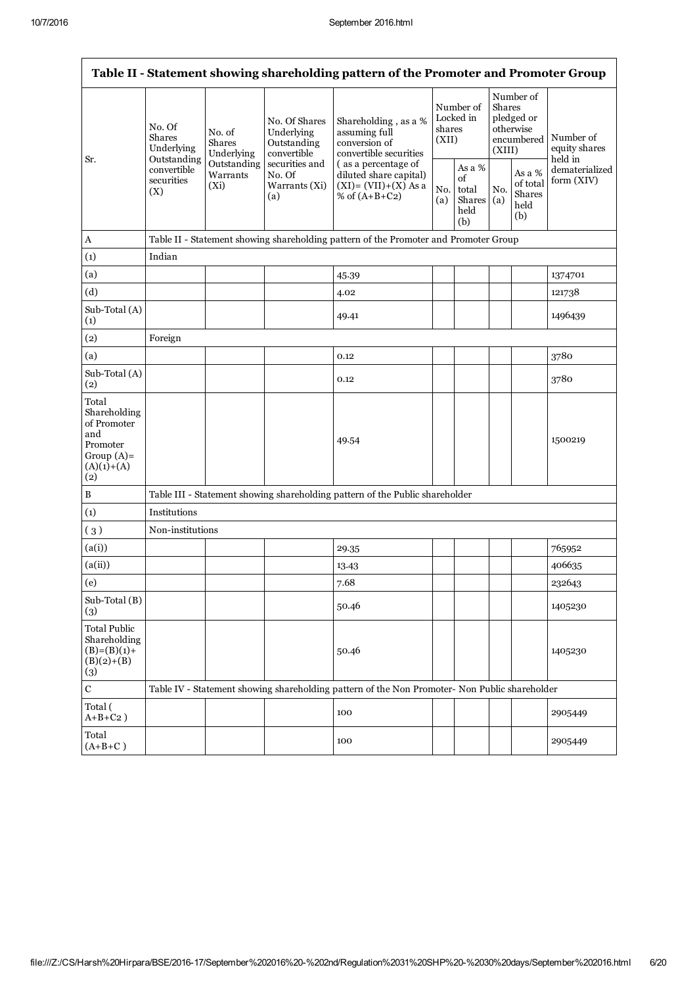| Table II - Statement showing shareholding pattern of the Promoter and Promoter Group            |                                                      |                                                                      |                                                                                                               |                                                                                               |                                           |                                                |                                                                        |                                             |                                       |
|-------------------------------------------------------------------------------------------------|------------------------------------------------------|----------------------------------------------------------------------|---------------------------------------------------------------------------------------------------------------|-----------------------------------------------------------------------------------------------|-------------------------------------------|------------------------------------------------|------------------------------------------------------------------------|---------------------------------------------|---------------------------------------|
| Sr.                                                                                             | No. Of<br><b>Shares</b><br>Underlying<br>Outstanding | No. of<br>Shares<br>Underlying<br>Outstanding<br>Warrants<br>$(X_i)$ | No. Of Shares<br>Underlying<br>Outstanding<br>convertible<br>securities and<br>No. Of<br>Warrants (Xi)<br>(a) | Shareholding, as a %<br>assuming full<br>conversion of<br>convertible securities              | Number of<br>Locked in<br>shares<br>(XII) |                                                | Number of<br>Shares<br>pledged or<br>otherwise<br>encumbered<br>(XIII) |                                             | Number of<br>equity shares<br>held in |
|                                                                                                 | convertible<br>securities<br>(X)                     |                                                                      |                                                                                                               | (as a percentage of<br>diluted share capital)<br>$(XI) = (VII)+(X) As a$<br>% of $(A+B+C2)$   | No.<br>(a)                                | As a %<br>of<br>total<br>Shares<br>held<br>(b) | No.<br>(a)                                                             | As a %<br>of total<br>Shares<br>held<br>(b) | dematerialized<br>form (XIV)          |
| A                                                                                               |                                                      |                                                                      |                                                                                                               | Table II - Statement showing shareholding pattern of the Promoter and Promoter Group          |                                           |                                                |                                                                        |                                             |                                       |
| (1)                                                                                             | Indian                                               |                                                                      |                                                                                                               |                                                                                               |                                           |                                                |                                                                        |                                             |                                       |
| (a)                                                                                             |                                                      |                                                                      |                                                                                                               | 45.39                                                                                         |                                           |                                                |                                                                        |                                             | 1374701                               |
| (d)                                                                                             |                                                      |                                                                      |                                                                                                               | 4.02                                                                                          |                                           |                                                |                                                                        |                                             | 121738                                |
| Sub-Total (A)<br>(1)                                                                            |                                                      |                                                                      |                                                                                                               | 49.41                                                                                         |                                           |                                                |                                                                        |                                             | 1496439                               |
| (2)                                                                                             | Foreign                                              |                                                                      |                                                                                                               |                                                                                               |                                           |                                                |                                                                        |                                             |                                       |
| (a)                                                                                             |                                                      |                                                                      |                                                                                                               | 0.12                                                                                          |                                           |                                                |                                                                        |                                             | 3780                                  |
| Sub-Total (A)<br>(2)                                                                            |                                                      |                                                                      |                                                                                                               | 0.12                                                                                          |                                           |                                                |                                                                        |                                             | 3780                                  |
| Total<br>Shareholding<br>of Promoter<br>and<br>Promoter<br>Group $(A)$ =<br>$(A)(1)+(A)$<br>(2) |                                                      |                                                                      |                                                                                                               | 49.54                                                                                         |                                           |                                                |                                                                        |                                             | 1500219                               |
| $\, {\bf B}$                                                                                    |                                                      |                                                                      |                                                                                                               | Table III - Statement showing shareholding pattern of the Public shareholder                  |                                           |                                                |                                                                        |                                             |                                       |
| (1)                                                                                             | Institutions                                         |                                                                      |                                                                                                               |                                                                                               |                                           |                                                |                                                                        |                                             |                                       |
| (3)                                                                                             | Non-institutions                                     |                                                                      |                                                                                                               |                                                                                               |                                           |                                                |                                                                        |                                             |                                       |
| (a(i))                                                                                          |                                                      |                                                                      |                                                                                                               | 29.35                                                                                         |                                           |                                                |                                                                        |                                             | 765952                                |
| (a(ii))                                                                                         |                                                      |                                                                      |                                                                                                               | 13.43                                                                                         |                                           |                                                |                                                                        |                                             | 406635                                |
| (e)                                                                                             |                                                      |                                                                      |                                                                                                               | 7.68                                                                                          |                                           |                                                |                                                                        |                                             | 232643                                |
| Sub-Total (B)<br>(3)                                                                            |                                                      |                                                                      |                                                                                                               | 50.46                                                                                         |                                           |                                                |                                                                        |                                             | 1405230                               |
| <b>Total Public</b><br>Shareholding<br>$(B)=(B)(1)+$<br>$(B)(2)+(B)$<br>(3)                     |                                                      |                                                                      |                                                                                                               | 50.46                                                                                         |                                           |                                                |                                                                        |                                             | 1405230                               |
| $\mathbf C$                                                                                     |                                                      |                                                                      |                                                                                                               | Table IV - Statement showing shareholding pattern of the Non Promoter- Non Public shareholder |                                           |                                                |                                                                        |                                             |                                       |
| Total (<br>$A+B+C2$ )                                                                           |                                                      |                                                                      |                                                                                                               | 100                                                                                           |                                           |                                                |                                                                        |                                             | 2905449                               |
| Total<br>$(A+B+C)$                                                                              |                                                      |                                                                      |                                                                                                               | 100                                                                                           |                                           |                                                |                                                                        |                                             | 2905449                               |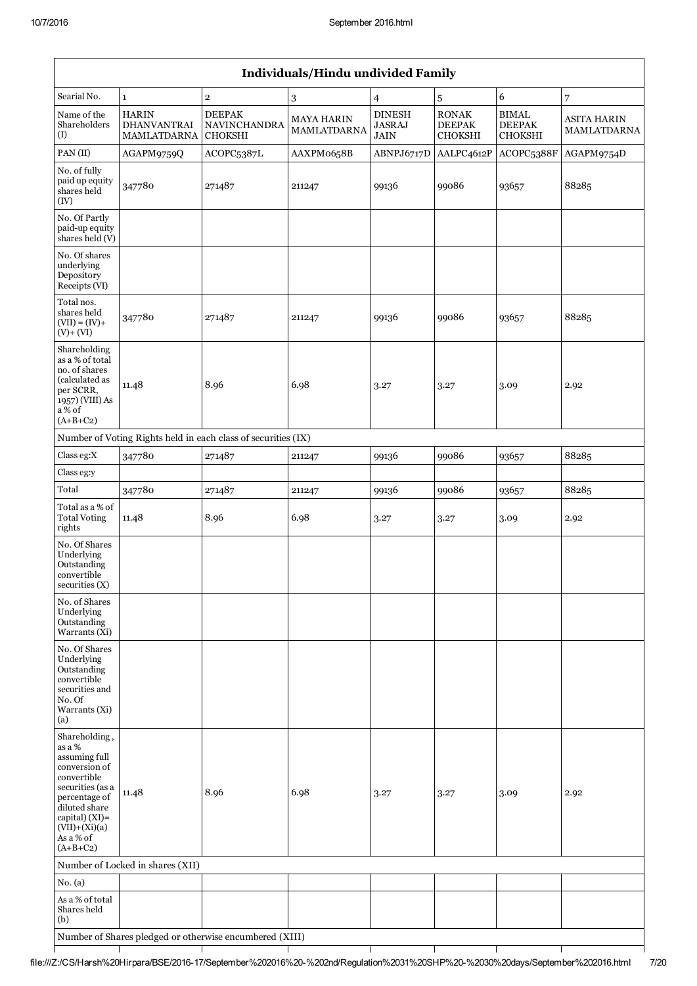|                                                                                                                                                                                                | Individuals/Hindu undivided Family                       |                                                               |                                  |                                               |                                                 |                                                 |                                   |
|------------------------------------------------------------------------------------------------------------------------------------------------------------------------------------------------|----------------------------------------------------------|---------------------------------------------------------------|----------------------------------|-----------------------------------------------|-------------------------------------------------|-------------------------------------------------|-----------------------------------|
| Searial No.                                                                                                                                                                                    | $\mathbf 1$                                              | $\overline{2}$                                                | $\,3$                            | $\overline{4}$                                | $\sqrt{5}$                                      | 6                                               | $\overline{7}$                    |
| Name of the<br>Shareholders<br>(I)                                                                                                                                                             | <b>HARIN</b><br><b>DHANVANTRAI</b><br><b>MAMLATDARNA</b> | <b>DEEPAK</b><br>NAVINCHANDRA<br><b>CHOKSHI</b>               | <b>MAYA HARIN</b><br>MAMLATDARNA | <b>DINESH</b><br><b>JASRAJ</b><br><b>JAIN</b> | <b>RONAK</b><br><b>DEEPAK</b><br><b>CHOKSHI</b> | <b>BIMAL</b><br><b>DEEPAK</b><br><b>CHOKSHI</b> | <b>ASITA HARIN</b><br>MAMLATDARNA |
| PAN(II)                                                                                                                                                                                        | AGAPM9759Q                                               | ACOPC5387L                                                    | AAXPM0658B                       | ABNPJ6717D                                    | AALPC4612P                                      | ACOPC5388F                                      | AGAPM9754D                        |
| No. of fully<br>paid up equity<br>shares held<br>(IV)                                                                                                                                          | 347780                                                   | 271487                                                        | 211247                           | 99136                                         | 99086                                           | 93657                                           | 88285                             |
| No. Of Partly<br>paid-up equity<br>shares held (V)                                                                                                                                             |                                                          |                                                               |                                  |                                               |                                                 |                                                 |                                   |
| No. Of shares<br>underlying<br>Depository<br>Receipts (VI)                                                                                                                                     |                                                          |                                                               |                                  |                                               |                                                 |                                                 |                                   |
| Total nos.<br>shares held<br>$(VII) = (IV) +$<br>$(V)+(VI)$                                                                                                                                    | 347780                                                   | 271487                                                        | 211247                           | 99136                                         | 99086                                           | 93657                                           | 88285                             |
| Shareholding<br>as a % of total<br>no. of shares<br>(calculated as<br>per SCRR,<br>1957) (VIII) As<br>a % of<br>$(A+B+C2)$                                                                     | 11.48                                                    | 8.96                                                          | 6.98                             | 3.27                                          | 3.27                                            | 3.09                                            | 2.92                              |
|                                                                                                                                                                                                |                                                          | Number of Voting Rights held in each class of securities (IX) |                                  |                                               |                                                 |                                                 |                                   |
| Class eg:X                                                                                                                                                                                     | 347780                                                   | 271487                                                        | 211247                           | 99136                                         | 99086                                           | 93657                                           | 88285                             |
| Class eg:y                                                                                                                                                                                     |                                                          |                                                               |                                  |                                               |                                                 |                                                 |                                   |
| Total                                                                                                                                                                                          | 347780                                                   | 271487                                                        | 211247                           | 99136                                         | 99086                                           | 93657                                           | 88285                             |
| Total as a % of<br><b>Total Voting</b><br>rights                                                                                                                                               | 11.48                                                    | 8.96                                                          | 6.98                             | 3.27                                          | 3.27                                            | 3.09                                            | 2.92                              |
| No. Of Shares<br>Underlying<br>Outstanding<br>convertible<br>securities $(X)$                                                                                                                  |                                                          |                                                               |                                  |                                               |                                                 |                                                 |                                   |
| No. of Shares<br>Underlying<br>Outstanding<br>Warrants (Xi)                                                                                                                                    |                                                          |                                                               |                                  |                                               |                                                 |                                                 |                                   |
| No. Of Shares<br>Underlying<br>Outstanding<br>convertible<br>securities and<br>No. Of<br>Warrants (Xi)<br>(a)                                                                                  |                                                          |                                                               |                                  |                                               |                                                 |                                                 |                                   |
| Shareholding,<br>as a %<br>assuming full<br>conversion of<br>convertible<br>securities (as a<br>percentage of<br>diluted share<br>capital) (XI)=<br>$(VII)+(Xi)(a)$<br>As a % of<br>$(A+B+C2)$ | 11.48                                                    | 8.96                                                          | 6.98                             | 3.27                                          | 3.27                                            | 3.09                                            | 2.92                              |
|                                                                                                                                                                                                | Number of Locked in shares (XII)                         |                                                               |                                  |                                               |                                                 |                                                 |                                   |
| No. (a)                                                                                                                                                                                        |                                                          |                                                               |                                  |                                               |                                                 |                                                 |                                   |
| As a % of total<br>Shares held<br>(b)                                                                                                                                                          |                                                          |                                                               |                                  |                                               |                                                 |                                                 |                                   |
|                                                                                                                                                                                                |                                                          | Number of Shares pledged or otherwise encumbered (XIII)       |                                  |                                               |                                                 |                                                 |                                   |

 $\mathsf{T}$ 

Ţ

Τ

Τ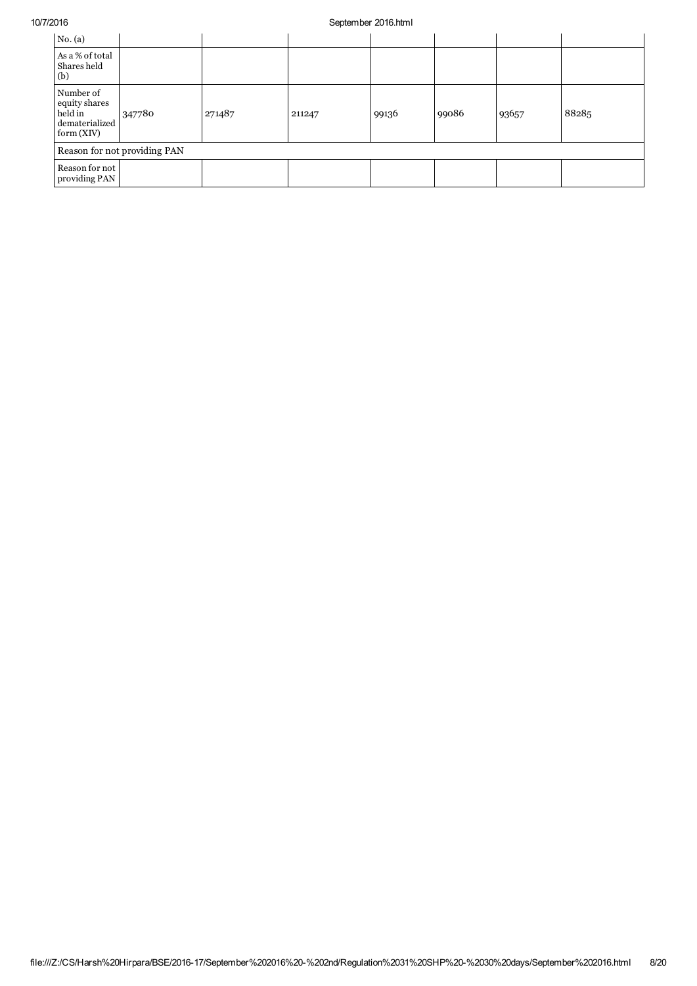## 10/7/2016 September 2016.html

| No. (a)                                                              |        |        |        |       |       |       |       |
|----------------------------------------------------------------------|--------|--------|--------|-------|-------|-------|-------|
| As a % of total<br>Shares held<br>(b)                                |        |        |        |       |       |       |       |
| Number of<br>equity shares<br>held in<br>dematerialized<br>form(XIV) | 347780 | 271487 | 211247 | 99136 | 99086 | 93657 | 88285 |
| Reason for not providing PAN                                         |        |        |        |       |       |       |       |
| Reason for not<br>providing PAN                                      |        |        |        |       |       |       |       |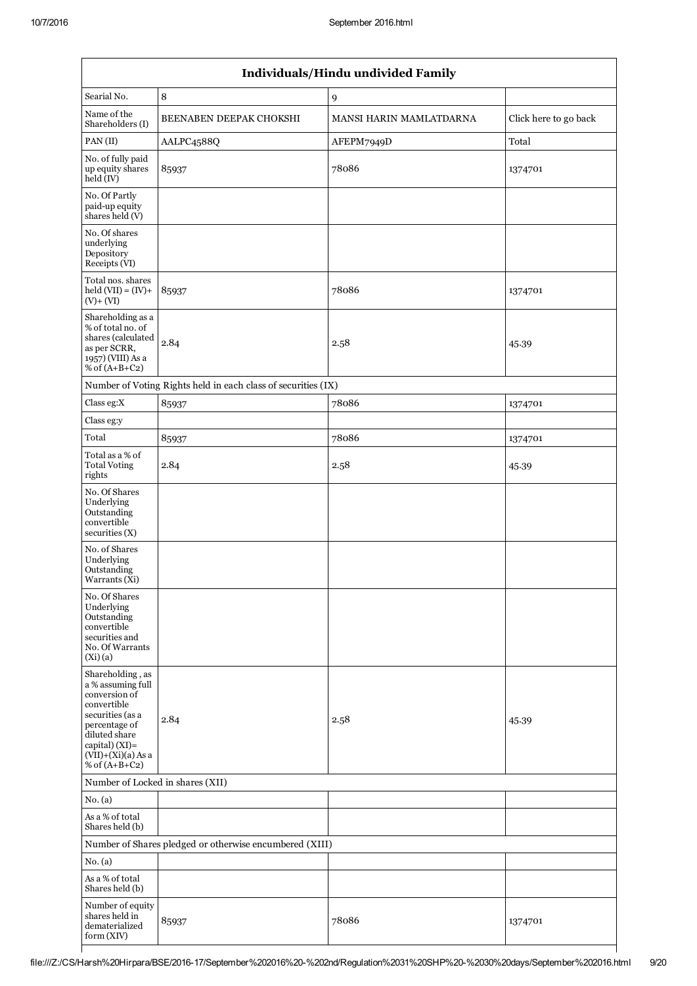| Individuals/Hindu undivided Family                                                                                                                                                       |                                                               |                         |                       |  |  |
|------------------------------------------------------------------------------------------------------------------------------------------------------------------------------------------|---------------------------------------------------------------|-------------------------|-----------------------|--|--|
| Searial No.                                                                                                                                                                              | $\,8\,$                                                       | 9                       |                       |  |  |
| Name of the<br>Shareholders (I)                                                                                                                                                          | BEENABEN DEEPAK CHOKSHI                                       | MANSI HARIN MAMLATDARNA | Click here to go back |  |  |
| PAN(II)                                                                                                                                                                                  | AALPC4588Q                                                    | AFEPM7949D              | $\mbox{{\sc Total}}$  |  |  |
| No. of fully paid<br>up equity shares<br>held (IV)                                                                                                                                       | 85937                                                         | 78086                   | 1374701               |  |  |
| No. Of Partly<br>paid-up equity<br>shares held (V)                                                                                                                                       |                                                               |                         |                       |  |  |
| No. Of shares<br>underlying<br>Depository<br>Receipts (VI)                                                                                                                               |                                                               |                         |                       |  |  |
| Total nos. shares<br>$\text{held (VII)} = (IV) +$<br>$(V) + (VI)$                                                                                                                        | 85937                                                         | 78086                   | 1374701               |  |  |
| Shareholding as a<br>% of total no. of<br>shares (calculated<br>as per SCRR,<br>1957) (VIII) As a<br>% of $(A+B+C2)$                                                                     | 2.84                                                          | 2.58                    | 45.39                 |  |  |
|                                                                                                                                                                                          | Number of Voting Rights held in each class of securities (IX) |                         |                       |  |  |
| Class eg:X                                                                                                                                                                               | 85937                                                         | 78086                   | 1374701               |  |  |
| Class eg:y                                                                                                                                                                               |                                                               |                         |                       |  |  |
| Total                                                                                                                                                                                    | 85937                                                         | 78086                   | 1374701               |  |  |
| Total as a % of<br><b>Total Voting</b><br>rights                                                                                                                                         | 2.84                                                          | 2.58                    | 45.39                 |  |  |
| No. Of Shares<br>Underlying<br>Outstanding<br>convertible<br>securities(X)                                                                                                               |                                                               |                         |                       |  |  |
| No. of Shares<br>Underlying<br>Outstanding<br>Warrants (Xi)                                                                                                                              |                                                               |                         |                       |  |  |
| No. Of Shares<br>Underlying<br>Outstanding<br>convertible<br>securities and<br>No. Of Warrants<br>(Xi)(a)                                                                                |                                                               |                         |                       |  |  |
| Shareholding, as<br>a % assuming full<br>conversion of<br>convertible<br>securities (as a<br>percentage of<br>diluted share<br>capital) (XI)=<br>$(VII)+(Xi)(a)$ As a<br>% of $(A+B+C2)$ | 2.84                                                          | 2.58                    | 45.39                 |  |  |
| Number of Locked in shares (XII)                                                                                                                                                         |                                                               |                         |                       |  |  |
| No. (a)                                                                                                                                                                                  |                                                               |                         |                       |  |  |
| As a % of total<br>Shares held (b)                                                                                                                                                       |                                                               |                         |                       |  |  |
|                                                                                                                                                                                          | Number of Shares pledged or otherwise encumbered (XIII)       |                         |                       |  |  |
| No. (a)                                                                                                                                                                                  |                                                               |                         |                       |  |  |
| As a % of total<br>Shares held (b)                                                                                                                                                       |                                                               |                         |                       |  |  |
| Number of equity<br>shares held in<br>dematerialized<br>form (XIV)                                                                                                                       | 85937                                                         | 78086                   | 1374701               |  |  |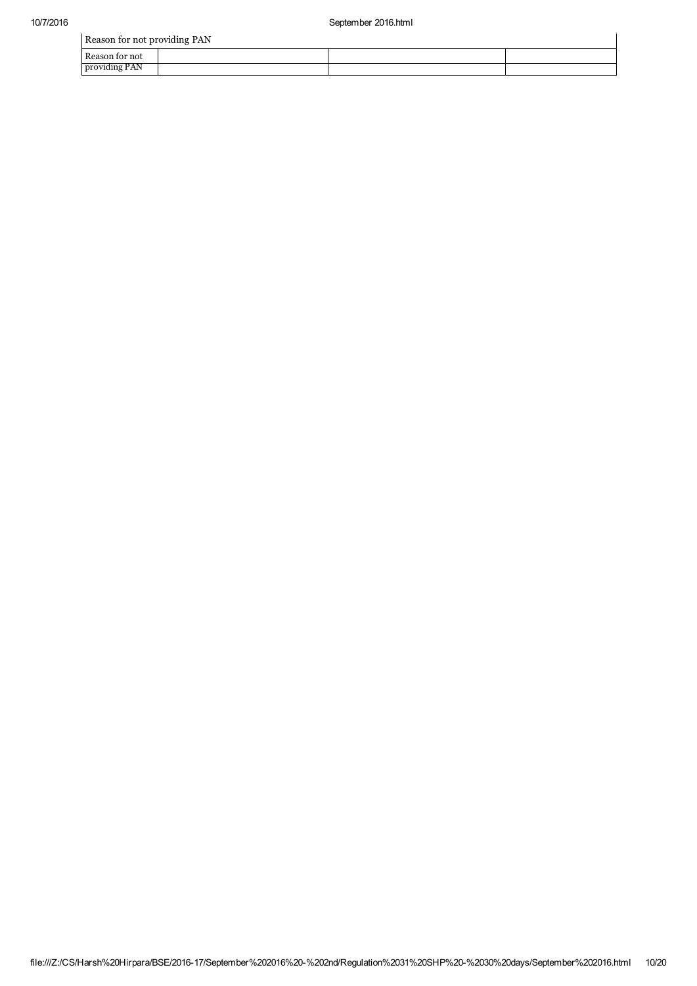|                | Reason for not providing PAN |  |  |  |  |  |  |  |
|----------------|------------------------------|--|--|--|--|--|--|--|
| Reason for not |                              |  |  |  |  |  |  |  |
| providing PAN  |                              |  |  |  |  |  |  |  |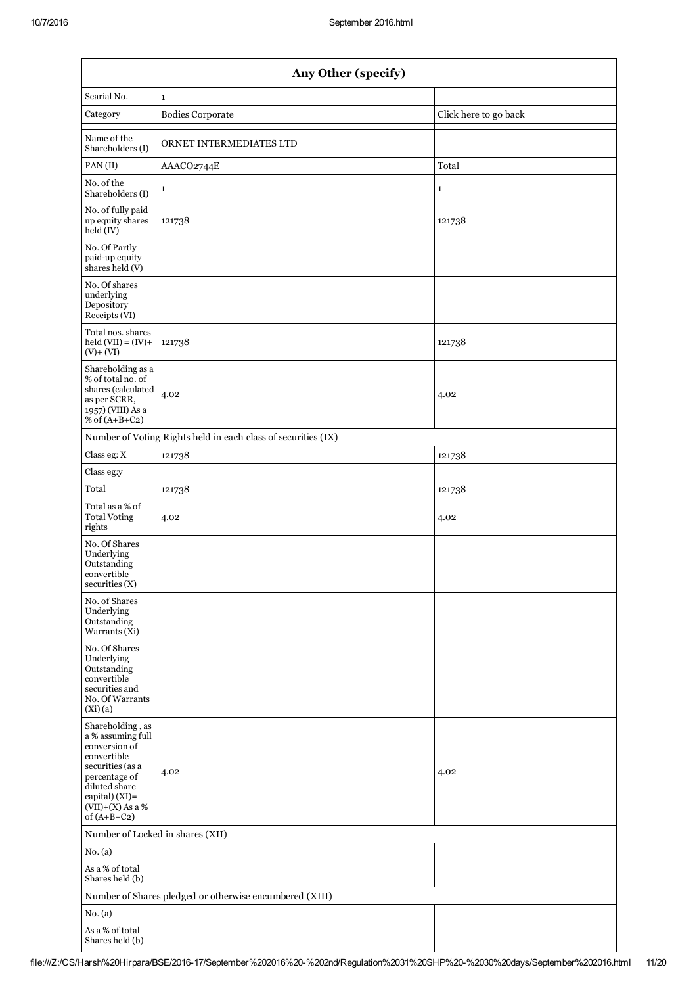ı

|                                                                                                                                                                                      | Any Other (specify)                                           |                       |  |  |  |  |  |  |
|--------------------------------------------------------------------------------------------------------------------------------------------------------------------------------------|---------------------------------------------------------------|-----------------------|--|--|--|--|--|--|
| Searial No.                                                                                                                                                                          | $\mathbf 1$                                                   |                       |  |  |  |  |  |  |
| Category                                                                                                                                                                             | <b>Bodies Corporate</b>                                       | Click here to go back |  |  |  |  |  |  |
| Name of the<br>Shareholders (I)                                                                                                                                                      | ORNET INTERMEDIATES LTD                                       |                       |  |  |  |  |  |  |
| PAN(II)                                                                                                                                                                              | AAACO2744E                                                    | Total                 |  |  |  |  |  |  |
| No. of the<br>Shareholders (I)                                                                                                                                                       | $\mathbf{1}$                                                  | $\mathbf{1}$          |  |  |  |  |  |  |
| No. of fully paid<br>up equity shares<br>held (IV)                                                                                                                                   | 121738                                                        | 121738                |  |  |  |  |  |  |
| No. Of Partly<br>paid-up equity<br>shares held (V)                                                                                                                                   |                                                               |                       |  |  |  |  |  |  |
| No. Of shares<br>underlying<br>Depository<br>Receipts (VI)                                                                                                                           |                                                               |                       |  |  |  |  |  |  |
| Total nos. shares<br>$held (VII) = (IV) +$<br>$(V) + (VI)$                                                                                                                           | 121738                                                        | 121738                |  |  |  |  |  |  |
| Shareholding as a<br>% of total no. of<br>shares (calculated<br>as per SCRR,<br>1957) (VIII) As a<br>% of $(A+B+C2)$                                                                 | 4.02                                                          | 4.02                  |  |  |  |  |  |  |
|                                                                                                                                                                                      | Number of Voting Rights held in each class of securities (IX) |                       |  |  |  |  |  |  |
| Class eg: X                                                                                                                                                                          | 121738                                                        | 121738                |  |  |  |  |  |  |
| Class eg:y                                                                                                                                                                           |                                                               |                       |  |  |  |  |  |  |
| Total                                                                                                                                                                                | 121738                                                        | 121738                |  |  |  |  |  |  |
| Total as a % of<br><b>Total Voting</b><br>rights                                                                                                                                     | 4.02                                                          | 4.02                  |  |  |  |  |  |  |
| No. Of Shares<br>Underlying<br>Outstanding<br>convertible<br>securities (X)                                                                                                          |                                                               |                       |  |  |  |  |  |  |
| No. of Shares<br>Underlying<br>Outstanding<br>Warrants (Xi)                                                                                                                          |                                                               |                       |  |  |  |  |  |  |
| No. Of Shares<br>Underlying<br>Outstanding<br>convertible<br>securities and<br>No. Of Warrants<br>(Xi)(a)                                                                            |                                                               |                       |  |  |  |  |  |  |
| Shareholding, as<br>a % assuming full<br>conversion of<br>convertible<br>securities (as a<br>percentage of<br>diluted share<br>capital) (XI)=<br>$(VII)+(X)$ As a %<br>of $(A+B+C2)$ | 4.02                                                          | 4.02                  |  |  |  |  |  |  |
| Number of Locked in shares (XII)                                                                                                                                                     |                                                               |                       |  |  |  |  |  |  |
| No. (a)                                                                                                                                                                              |                                                               |                       |  |  |  |  |  |  |
| As a % of total<br>Shares held (b)                                                                                                                                                   |                                                               |                       |  |  |  |  |  |  |
|                                                                                                                                                                                      | Number of Shares pledged or otherwise encumbered (XIII)       |                       |  |  |  |  |  |  |
| No. (a)                                                                                                                                                                              |                                                               |                       |  |  |  |  |  |  |
| As a % of total<br>Shares held (b)                                                                                                                                                   |                                                               |                       |  |  |  |  |  |  |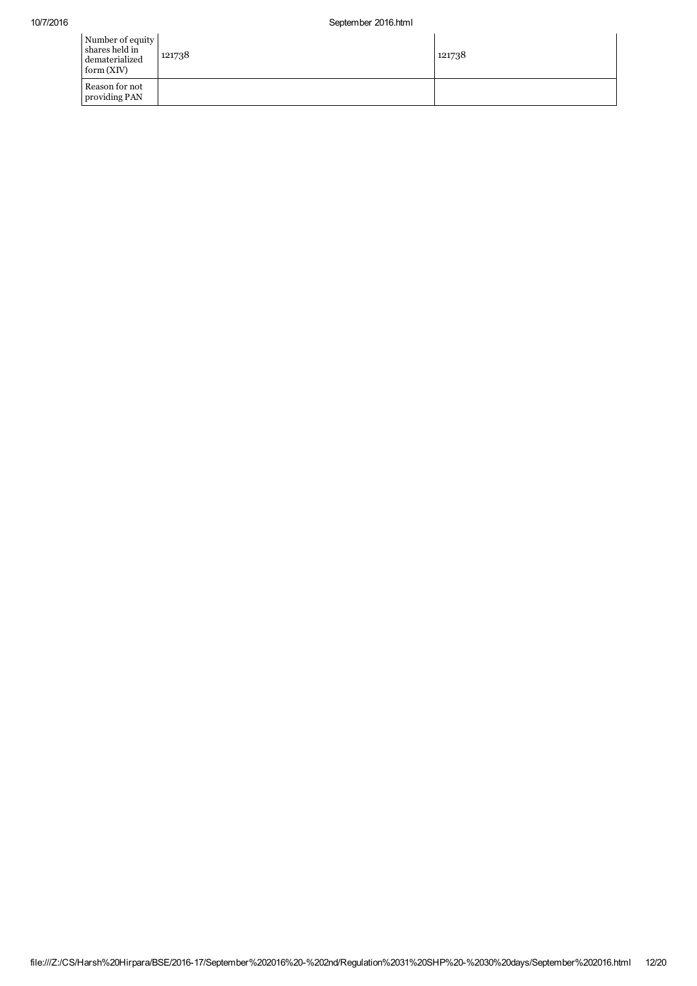| Number of equity<br>shares held in<br>dematerialized<br>form(XIV) | 121738 | 121738 |
|-------------------------------------------------------------------|--------|--------|
| Reason for not<br>providing PAN                                   |        |        |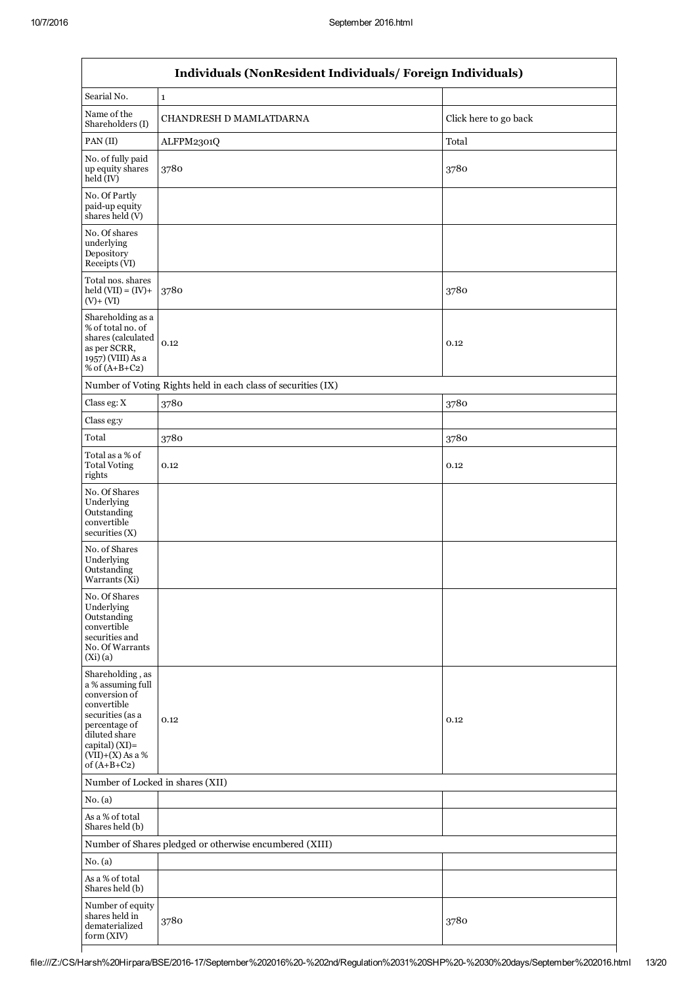$\mathsf{L}$ 

| Individuals (NonResident Individuals/Foreign Individuals)                                                                                                                            |                                                               |                       |  |  |  |
|--------------------------------------------------------------------------------------------------------------------------------------------------------------------------------------|---------------------------------------------------------------|-----------------------|--|--|--|
| Searial No.                                                                                                                                                                          | $\mathbf{1}$                                                  |                       |  |  |  |
| Name of the<br>Shareholders (I)                                                                                                                                                      | CHANDRESH D MAMLATDARNA                                       | Click here to go back |  |  |  |
| PAN(II)                                                                                                                                                                              | ALFPM2301Q<br>Total                                           |                       |  |  |  |
| No. of fully paid<br>up equity shares<br>held (IV)                                                                                                                                   | 3780<br>3780                                                  |                       |  |  |  |
| No. Of Partly<br>paid-up equity<br>shares held (V)                                                                                                                                   |                                                               |                       |  |  |  |
| No. Of shares<br>underlying<br>Depository<br>Receipts (VI)                                                                                                                           |                                                               |                       |  |  |  |
| Total nos. shares<br>$held (VII) = (IV) +$<br>$(V) + (VI)$                                                                                                                           | 3780                                                          | 3780                  |  |  |  |
| Shareholding as a<br>% of total no. of<br>shares (calculated<br>as per SCRR,<br>1957) (VIII) As a<br>% of $(A+B+C2)$                                                                 | 0.12                                                          | 0.12                  |  |  |  |
|                                                                                                                                                                                      | Number of Voting Rights held in each class of securities (IX) |                       |  |  |  |
| Class eg: X                                                                                                                                                                          | 3780                                                          | 3780                  |  |  |  |
| Class eg:y                                                                                                                                                                           |                                                               |                       |  |  |  |
| Total                                                                                                                                                                                | 3780                                                          | 3780                  |  |  |  |
| Total as a % of<br><b>Total Voting</b><br>rights                                                                                                                                     | 0.12                                                          | 0.12                  |  |  |  |
| No. Of Shares<br>Underlying<br>Outstanding<br>convertible<br>securities(X)                                                                                                           |                                                               |                       |  |  |  |
| No. of Shares<br>Underlying<br>Outstanding<br>Warrants (Xi)                                                                                                                          |                                                               |                       |  |  |  |
| No. Of Shares<br>Underlying<br>Outstanding<br>convertible<br>securities and<br>No. Of Warrants<br>(Xi)(a)                                                                            |                                                               |                       |  |  |  |
| Shareholding, as<br>a % assuming full<br>conversion of<br>convertible<br>securities (as a<br>percentage of<br>diluted share<br>capital) (XI)=<br>$(VII)+(X)$ As a %<br>of $(A+B+C2)$ | 0.12                                                          | 0.12                  |  |  |  |
| Number of Locked in shares (XII)                                                                                                                                                     |                                                               |                       |  |  |  |
| No. (a)                                                                                                                                                                              |                                                               |                       |  |  |  |
| As a % of total<br>Shares held (b)                                                                                                                                                   |                                                               |                       |  |  |  |
| Number of Shares pledged or otherwise encumbered (XIII)                                                                                                                              |                                                               |                       |  |  |  |
| No. (a)                                                                                                                                                                              |                                                               |                       |  |  |  |
| As a % of total<br>Shares held (b)                                                                                                                                                   |                                                               |                       |  |  |  |
| Number of equity<br>shares held in<br>dematerialized<br>form(XIV)                                                                                                                    | 3780                                                          | 3780                  |  |  |  |
|                                                                                                                                                                                      |                                                               |                       |  |  |  |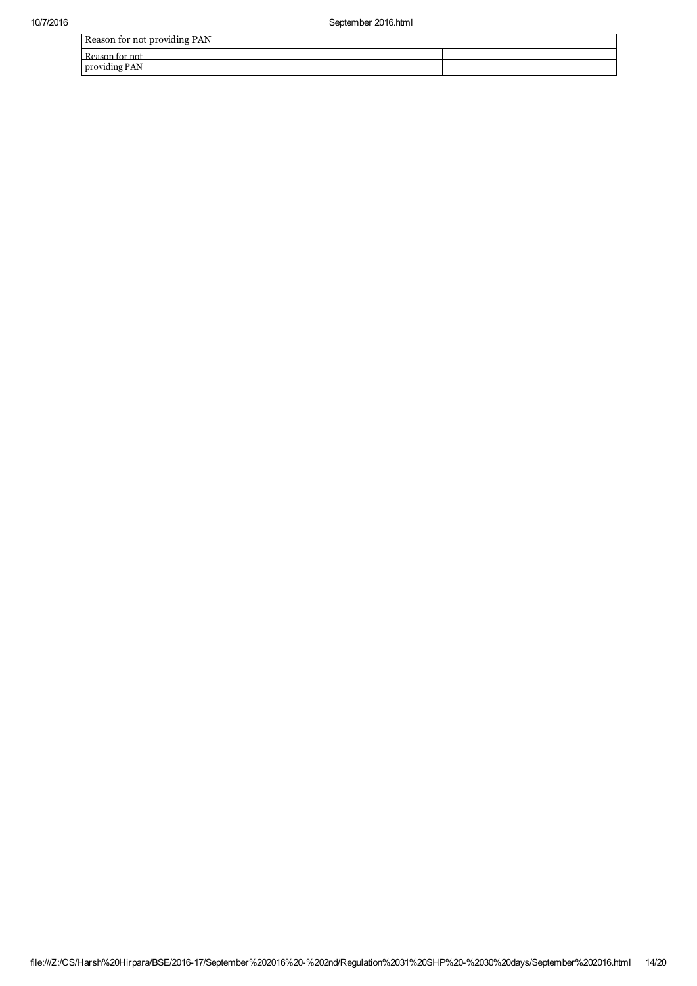| Reason for not providing PAN |  |  |  |  |
|------------------------------|--|--|--|--|
| Reason for not               |  |  |  |  |
| providing PAN                |  |  |  |  |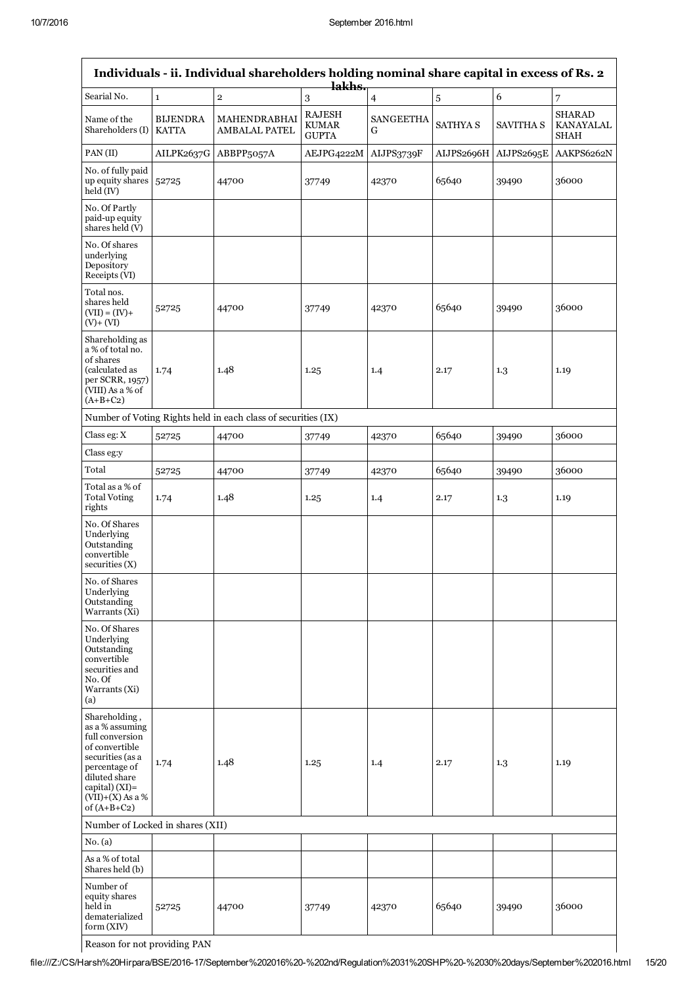| Individuals - ii. Individual shareholders holding nominal share capital in excess of Rs. 2<br>lakhs.                                                                                 |                                 |                                                               |                                               |                       |                 |            |                                           |
|--------------------------------------------------------------------------------------------------------------------------------------------------------------------------------------|---------------------------------|---------------------------------------------------------------|-----------------------------------------------|-----------------------|-----------------|------------|-------------------------------------------|
| Searial No.                                                                                                                                                                          | $\mathbf 1$                     | $\mathbf{2}$                                                  | 3                                             | $\overline{4}$        | $\sqrt{5}$      | 6          | 7                                         |
| Name of the<br>Shareholders (I)                                                                                                                                                      | <b>BIJENDRA</b><br><b>KATTA</b> | MAHENDRABHAI<br>AMBALAL PATEL                                 | <b>RAJESH</b><br><b>KUMAR</b><br><b>GUPTA</b> | <b>SANGEETHA</b><br>G | <b>SATHYA S</b> | SAVITHA S  | <b>SHARAD</b><br>KANAYALAL<br><b>SHAH</b> |
| PAN(II)                                                                                                                                                                              | AILPK2637G                      | ABBPP5057A                                                    | AEJPG4222M                                    | AIJPS3739F            | AIJPS2696H      | AIJPS2695E | AAKPS6262N                                |
| No. of fully paid<br>up equity shares $ 52725$<br>held (IV)                                                                                                                          |                                 | 44700                                                         | 37749                                         | 42370                 | 65640           | 39490      | 36000                                     |
| No. Of Partly<br>paid-up equity<br>shares held (V)                                                                                                                                   |                                 |                                                               |                                               |                       |                 |            |                                           |
| No. Of shares<br>underlying<br>Depository<br>Receipts (VI)                                                                                                                           |                                 |                                                               |                                               |                       |                 |            |                                           |
| Total nos.<br>shares held<br>$(VII) = (IV) +$<br>$(V) + (VI)$                                                                                                                        | 52725                           | 44700                                                         | 37749                                         | 42370                 | 65640           | 39490      | 36000                                     |
| Shareholding as<br>a % of total no.<br>of shares<br>(calculated as<br>per SCRR, 1957)<br>(VIII) As a % of<br>$(A+B+C2)$                                                              | 1.74                            | 1.48                                                          | 1.25                                          | 1.4                   | 2.17            | 1.3        | 1.19                                      |
|                                                                                                                                                                                      |                                 | Number of Voting Rights held in each class of securities (IX) |                                               |                       |                 |            |                                           |
| Class eg: X                                                                                                                                                                          | 52725                           | 44700                                                         | 37749                                         | 42370                 | 65640           | 39490      | 36000                                     |
| Class eg:y                                                                                                                                                                           |                                 |                                                               |                                               |                       |                 |            |                                           |
| Total                                                                                                                                                                                | 52725                           | 44700                                                         | 37749                                         | 42370                 | 65640           | 39490      | 36000                                     |
| Total as a % of<br><b>Total Voting</b><br>rights                                                                                                                                     | 1.74                            | 1.48                                                          | 1.25                                          | 1.4                   | 2.17            | 1.3        | 1.19                                      |
| No. Of Shares<br>Underlying<br>Outstanding<br>convertible<br>securities (X)                                                                                                          |                                 |                                                               |                                               |                       |                 |            |                                           |
| No. of Shares<br>Underlying<br>Outstanding<br>Warrants (Xi)                                                                                                                          |                                 |                                                               |                                               |                       |                 |            |                                           |
| No. Of Shares<br>Underlying<br>Outstanding<br>convertible<br>securities and<br>No. Of<br>Warrants (Xi)<br>(a)                                                                        |                                 |                                                               |                                               |                       |                 |            |                                           |
| Shareholding,<br>as a % assuming<br>full conversion<br>of convertible<br>securities (as a<br>percentage of<br>diluted share<br>capital) (XI)=<br>$(VII)+(X)$ As a %<br>of $(A+B+C2)$ | 1.74                            | 1.48                                                          | 1.25                                          | 1.4                   | 2.17            | 1.3        | 1.19                                      |
| Number of Locked in shares (XII)                                                                                                                                                     |                                 |                                                               |                                               |                       |                 |            |                                           |
| No. (a)                                                                                                                                                                              |                                 |                                                               |                                               |                       |                 |            |                                           |
| As a % of total<br>Shares held (b)                                                                                                                                                   |                                 |                                                               |                                               |                       |                 |            |                                           |
| Number of<br>equity shares<br>held in<br>dematerialized<br>form (XIV)                                                                                                                | 52725                           | 44700                                                         | 37749                                         | 42370                 | 65640           | 39490      | 36000                                     |

Reason for not providing PAN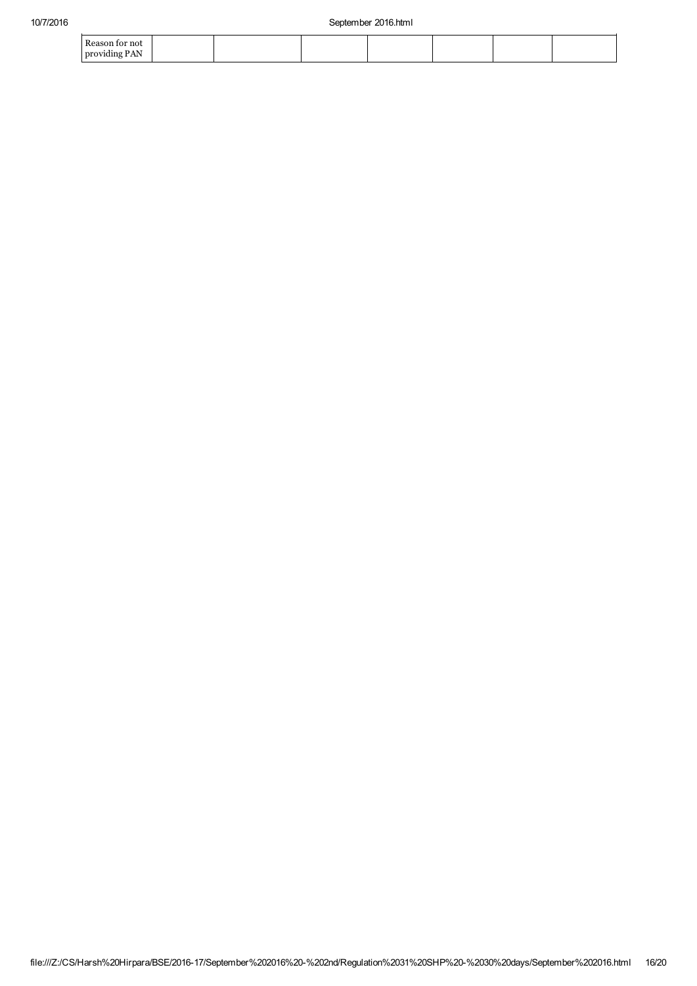| Reason for not |  |  |  |  |
|----------------|--|--|--|--|
| providing PAN  |  |  |  |  |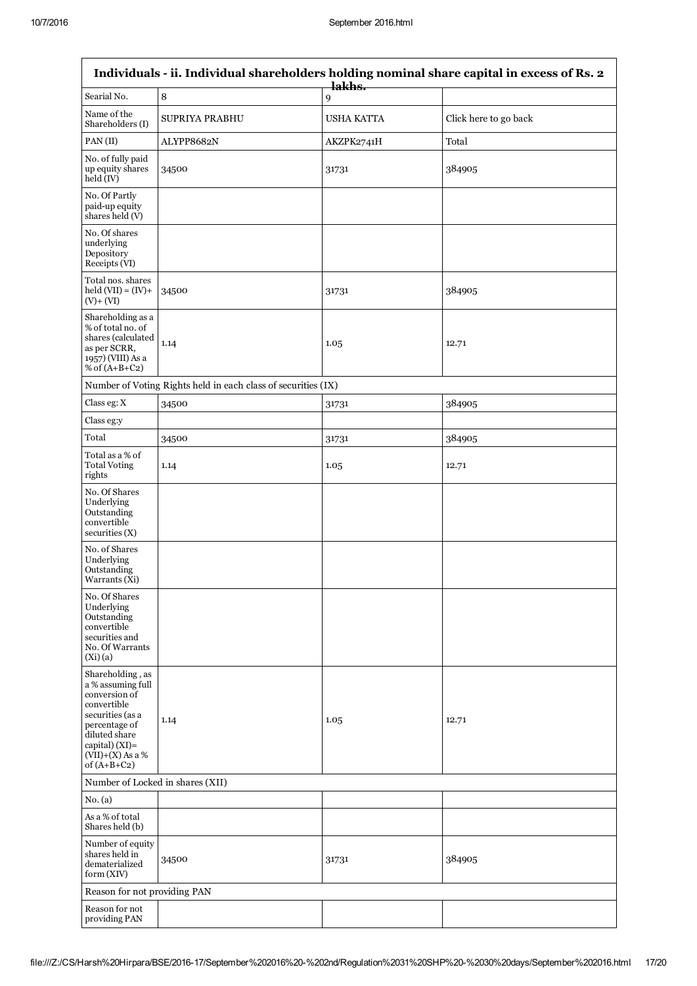$\mathsf{r}$ 

| Individuals - ii. Individual shareholders holding nominal share capital in excess of Rs. 2                                                                                                     |                                                               |                   |                       |  |
|------------------------------------------------------------------------------------------------------------------------------------------------------------------------------------------------|---------------------------------------------------------------|-------------------|-----------------------|--|
| Searial No.                                                                                                                                                                                    | $\, 8$                                                        | lakhs.<br>9       |                       |  |
| Name of the<br>Shareholders (I)                                                                                                                                                                | <b>SUPRIYA PRABHU</b>                                         | <b>USHA KATTA</b> | Click here to go back |  |
| PAN(II)                                                                                                                                                                                        | ALYPP8682N                                                    | AKZPK2741H        | Total                 |  |
| No. of fully paid<br>up equity shares<br>held (IV)                                                                                                                                             | 34500                                                         | 31731             | 384905                |  |
| No. Of Partly<br>paid-up equity<br>shares held (V)                                                                                                                                             |                                                               |                   |                       |  |
| No. Of shares<br>underlying<br>Depository<br>Receipts (VI)                                                                                                                                     |                                                               |                   |                       |  |
| Total nos. shares<br>$held (VII) = (IV) +$<br>$(V) + (VI)$                                                                                                                                     | 34500                                                         | 31731             | 384905                |  |
| Shareholding as a<br>% of total no. of<br>shares (calculated<br>as per SCRR,<br>1957) (VIII) As a<br>% of $(A+B+C2)$                                                                           | 1.14                                                          | 1.05              | 12.71                 |  |
|                                                                                                                                                                                                | Number of Voting Rights held in each class of securities (IX) |                   |                       |  |
| Class eg: X                                                                                                                                                                                    | 34500                                                         | 31731             | 384905                |  |
| Class eg:y                                                                                                                                                                                     |                                                               |                   |                       |  |
| Total                                                                                                                                                                                          | 34500                                                         | 31731             | 384905                |  |
| Total as a % of<br><b>Total Voting</b><br>rights                                                                                                                                               | 1.14                                                          | 1.05              | 12.71                 |  |
| No. Of Shares<br>Underlying<br>Outstanding<br>convertible<br>securities(X)                                                                                                                     |                                                               |                   |                       |  |
| No. of Shares<br>Underlying<br>Outstanding<br>Warrants (Xi)                                                                                                                                    |                                                               |                   |                       |  |
| No. Of Shares<br>Underlying<br>Outstanding<br>convertible<br>securities and<br>No. Of Warrants<br>(Xi)(a)                                                                                      |                                                               |                   |                       |  |
| Shareholding, as<br>a % assuming full<br>conversion of<br>convertible<br>securities (as a<br>percentage of<br>diluted share<br>$\text{capital}$ ) (XI)=<br>$(VII)+(X)$ As a %<br>of $(A+B+C2)$ | 1.14                                                          | 1.05              | 12.71                 |  |
| Number of Locked in shares (XII)                                                                                                                                                               |                                                               |                   |                       |  |
| No. (a)                                                                                                                                                                                        |                                                               |                   |                       |  |
| As a % of total<br>Shares held (b)                                                                                                                                                             |                                                               |                   |                       |  |
| Number of equity<br>shares held in<br>dematerialized<br>form (XIV)                                                                                                                             | 34500                                                         | 31731             | 384905                |  |
| Reason for not providing PAN                                                                                                                                                                   |                                                               |                   |                       |  |
| Reason for not<br>providing PAN                                                                                                                                                                |                                                               |                   |                       |  |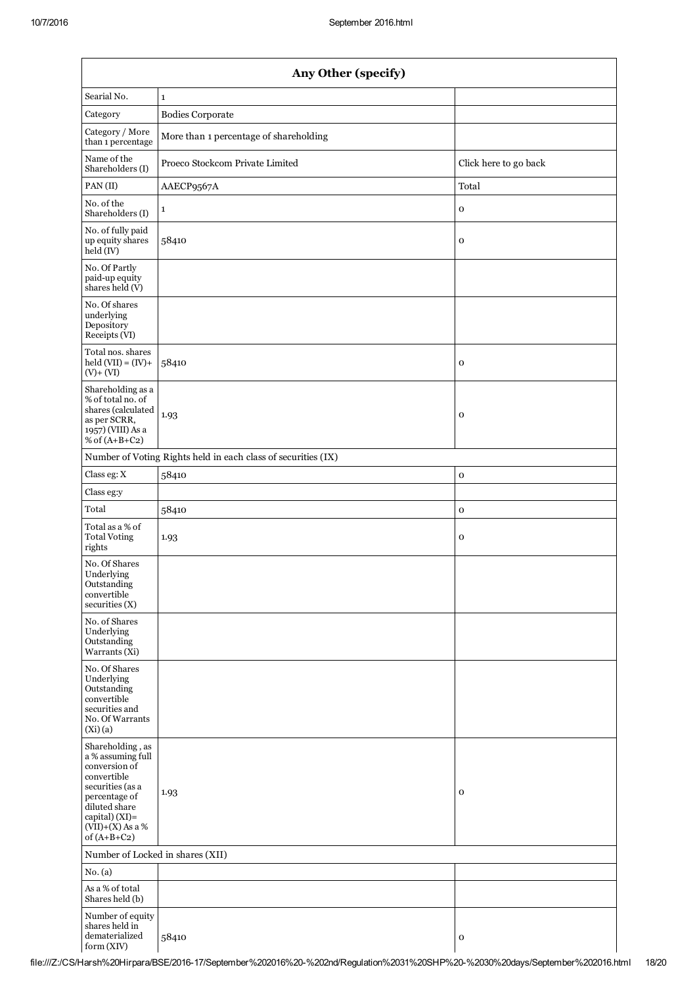| Any Other (specify)                                                                                                                                                                  |                                                               |                       |  |  |
|--------------------------------------------------------------------------------------------------------------------------------------------------------------------------------------|---------------------------------------------------------------|-----------------------|--|--|
| Searial No.                                                                                                                                                                          | $\mathbf{1}$                                                  |                       |  |  |
| Category                                                                                                                                                                             | <b>Bodies Corporate</b>                                       |                       |  |  |
| Category / More<br>than 1 percentage                                                                                                                                                 | More than 1 percentage of shareholding                        |                       |  |  |
| Name of the<br>Shareholders (I)                                                                                                                                                      | Proeco Stockcom Private Limited                               | Click here to go back |  |  |
| PAN(II)                                                                                                                                                                              | AAECP9567A                                                    | Total                 |  |  |
| No. of the<br>Shareholders (I)                                                                                                                                                       | $\mathbf{1}$                                                  | $\mathbf 0$           |  |  |
| No. of fully paid<br>up equity shares<br>$\text{held}(\text{IV})$                                                                                                                    | 58410                                                         | $\mathbf 0$           |  |  |
| No. Of Partly<br>paid-up equity<br>shares held (V)                                                                                                                                   |                                                               |                       |  |  |
| No. Of shares<br>underlying<br>Depository<br>Receipts (VI)                                                                                                                           |                                                               |                       |  |  |
| Total nos. shares<br>$held (VII) = (IV) +$<br>$(V) + (VI)$                                                                                                                           | 58410                                                         | $\mathbf{o}$          |  |  |
| Shareholding as a<br>% of total no. of<br>shares (calculated<br>as per SCRR,<br>1957) (VIII) As a<br>% of $(A+B+C2)$                                                                 | 1.93                                                          | $\mathbf{o}$          |  |  |
|                                                                                                                                                                                      | Number of Voting Rights held in each class of securities (IX) |                       |  |  |
| Class eg: X                                                                                                                                                                          | 58410                                                         | $\mathbf O$           |  |  |
| Class eg:y                                                                                                                                                                           |                                                               |                       |  |  |
| Total                                                                                                                                                                                | 58410                                                         | $\mathbf O$           |  |  |
| Total as a % of<br><b>Total Voting</b><br>rights                                                                                                                                     | 1.93                                                          | $\mathbf 0$           |  |  |
| No. Of Shares<br>Underlying<br>Outstanding<br>convertible<br>securities $(X)$                                                                                                        |                                                               |                       |  |  |
| No. of Shares<br>Underlying<br>Outstanding<br>Warrants (Xi)                                                                                                                          |                                                               |                       |  |  |
| No. Of Shares<br>Underlying<br>Outstanding<br>convertible<br>securities and<br>No. Of Warrants<br>(Xi)(a)                                                                            |                                                               |                       |  |  |
| Shareholding, as<br>a % assuming full<br>conversion of<br>convertible<br>securities (as a<br>percentage of<br>diluted share<br>capital) (XI)=<br>$(VII)+(X)$ As a %<br>of $(A+B+C2)$ | 1.93                                                          | $\mathbf 0$           |  |  |
| Number of Locked in shares (XII)                                                                                                                                                     |                                                               |                       |  |  |
| No. (a)                                                                                                                                                                              |                                                               |                       |  |  |
| As a % of total<br>Shares held (b)                                                                                                                                                   |                                                               |                       |  |  |
| Number of equity<br>shares held in<br>dematerialized<br>form (XIV)                                                                                                                   | 58410                                                         | $\mathbf 0$           |  |  |